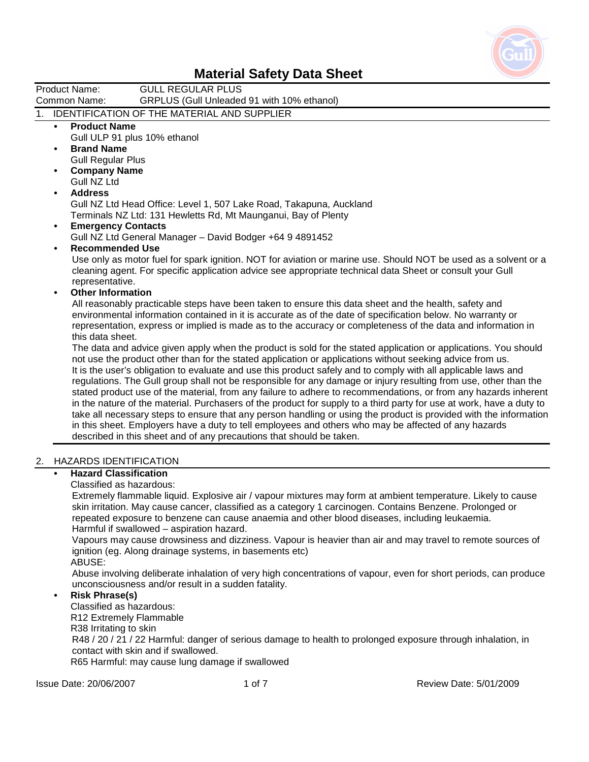

Product Name: GULL REGULAR PLUS Common Name: GRPLUS (Gull Unleaded 91 with 10% ethanol)

### 1. IDENTIFICATION OF THE MATERIAL AND SUPPLIER

- **Product Name** 
	- Gull ULP 91 plus 10% ethanol
- **Brand Name**  Gull Regular Plus
- **Company Name**  Gull NZ Ltd

### **• Address**

 Gull NZ Ltd Head Office: Level 1, 507 Lake Road, Takapuna, Auckland Terminals NZ Ltd: 131 Hewletts Rd, Mt Maunganui, Bay of Plenty

- **Emergency Contacts**  Gull NZ Ltd General Manager – David Bodger +64 9 4891452
- **Recommended Use**

 Use only as motor fuel for spark ignition. NOT for aviation or marine use. Should NOT be used as a solvent or a cleaning agent. For specific application advice see appropriate technical data Sheet or consult your Gull representative.

#### **• Other Information**

 All reasonably practicable steps have been taken to ensure this data sheet and the health, safety and environmental information contained in it is accurate as of the date of specification below. No warranty or representation, express or implied is made as to the accuracy or completeness of the data and information in this data sheet.

 The data and advice given apply when the product is sold for the stated application or applications. You should not use the product other than for the stated application or applications without seeking advice from us. It is the user's obligation to evaluate and use this product safely and to comply with all applicable laws and regulations. The Gull group shall not be responsible for any damage or injury resulting from use, other than the stated product use of the material, from any failure to adhere to recommendations, or from any hazards inherent in the nature of the material. Purchasers of the product for supply to a third party for use at work, have a duty to take all necessary steps to ensure that any person handling or using the product is provided with the information in this sheet. Employers have a duty to tell employees and others who may be affected of any hazards described in this sheet and of any precautions that should be taken.

### 2. HAZARDS IDENTIFICATION

### **• Hazard Classification**

Classified as hazardous:

 Extremely flammable liquid. Explosive air / vapour mixtures may form at ambient temperature. Likely to cause skin irritation. May cause cancer, classified as a category 1 carcinogen. Contains Benzene. Prolonged or repeated exposure to benzene can cause anaemia and other blood diseases, including leukaemia. Harmful if swallowed – aspiration hazard.

 Vapours may cause drowsiness and dizziness. Vapour is heavier than air and may travel to remote sources of ignition (eg. Along drainage systems, in basements etc)

ABUSE:

 Abuse involving deliberate inhalation of very high concentrations of vapour, even for short periods, can produce unconsciousness and/or result in a sudden fatality.

#### **• Risk Phrase(s)**

 Classified as hazardous: R12 Extremely Flammable R38 Irritating to skin R48 / 20 / 21 / 22 Harmful: danger of serious damage to health to prolonged exposure through inhalation, in contact with skin and if swallowed. R65 Harmful: may cause lung damage if swallowed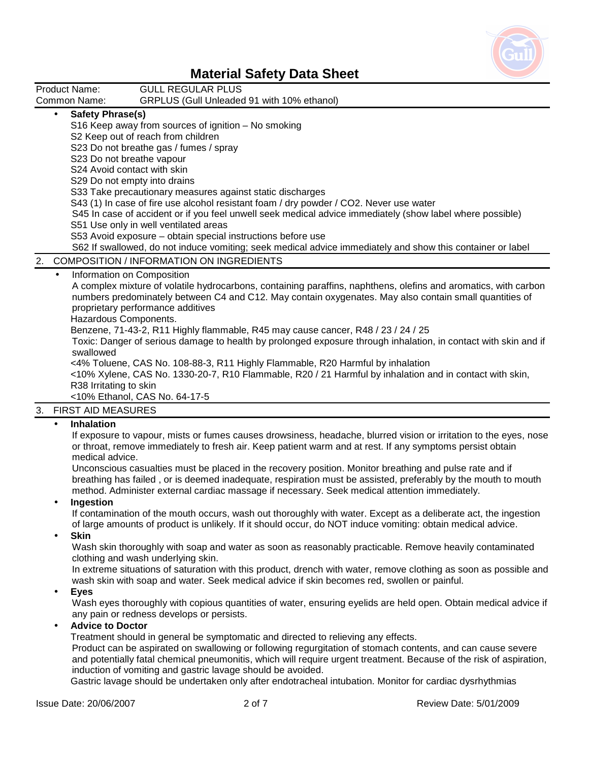

| Product Name:                                                             | <b>GULL REGULAR PLUS</b>                                                                                                                                                                                                                                                                                                                                                                                                                                                                                                                                                                                                                                                                                                                                                                      |
|---------------------------------------------------------------------------|-----------------------------------------------------------------------------------------------------------------------------------------------------------------------------------------------------------------------------------------------------------------------------------------------------------------------------------------------------------------------------------------------------------------------------------------------------------------------------------------------------------------------------------------------------------------------------------------------------------------------------------------------------------------------------------------------------------------------------------------------------------------------------------------------|
| Common Name:                                                              | GRPLUS (Gull Unleaded 91 with 10% ethanol)                                                                                                                                                                                                                                                                                                                                                                                                                                                                                                                                                                                                                                                                                                                                                    |
| <b>Safety Phrase(s)</b><br>$\bullet$                                      | S16 Keep away from sources of ignition - No smoking<br>S2 Keep out of reach from children<br>S23 Do not breathe gas / fumes / spray<br>S23 Do not breathe vapour<br>S24 Avoid contact with skin<br>S29 Do not empty into drains<br>S33 Take precautionary measures against static discharges<br>S43 (1) In case of fire use alcohol resistant foam / dry powder / CO2. Never use water<br>S45 In case of accident or if you feel unwell seek medical advice immediately (show label where possible)<br>S51 Use only in well ventilated areas<br>S53 Avoid exposure - obtain special instructions before use<br>S62 If swallowed, do not induce vomiting; seek medical advice immediately and show this container or label                                                                     |
| 2.                                                                        | <b>COMPOSITION / INFORMATION ON INGREDIENTS</b>                                                                                                                                                                                                                                                                                                                                                                                                                                                                                                                                                                                                                                                                                                                                               |
| $\bullet$<br>Hazardous Components.<br>swallowed<br>R38 Irritating to skin | Information on Composition<br>A complex mixture of volatile hydrocarbons, containing paraffins, naphthens, olefins and aromatics, with carbon<br>numbers predominately between C4 and C12. May contain oxygenates. May also contain small quantities of<br>proprietary performance additives<br>Benzene, 71-43-2, R11 Highly flammable, R45 may cause cancer, R48 / 23 / 24 / 25<br>Toxic: Danger of serious damage to health by prolonged exposure through inhalation, in contact with skin and if<br><4% Toluene, CAS No. 108-88-3, R11 Highly Flammable, R20 Harmful by inhalation<br><10% Xylene, CAS No. 1330-20-7, R10 Flammable, R20 / 21 Harmful by inhalation and in contact with skin,<br><10% Ethanol, CAS No. 64-17-5                                                             |
| 3.<br><b>FIRST AID MEASURES</b>                                           |                                                                                                                                                                                                                                                                                                                                                                                                                                                                                                                                                                                                                                                                                                                                                                                               |
| <b>Inhalation</b><br>$\bullet$<br>medical advice.<br>Ingestion            | If exposure to vapour, mists or fumes causes drowsiness, headache, blurred vision or irritation to the eyes, nose<br>or throat, remove immediately to fresh air. Keep patient warm and at rest. If any symptoms persist obtain<br>Unconscious casualties must be placed in the recovery position. Monitor breathing and pulse rate and if<br>breathing has failed, or is deemed inadequate, respiration must be assisted, preferably by the mouth to mouth<br>method. Administer external cardiac massage if necessary. Seek medical attention immediately.<br>If contamination of the mouth occurs, wash out thoroughly with water. Except as a deliberate act, the ingestion<br>of large amounts of product is unlikely. If it should occur, do NOT induce vomiting: obtain medical advice. |

• **Skin** 

 Wash skin thoroughly with soap and water as soon as reasonably practicable. Remove heavily contaminated clothing and wash underlying skin.

 In extreme situations of saturation with this product, drench with water, remove clothing as soon as possible and wash skin with soap and water. Seek medical advice if skin becomes red, swollen or painful.

• **Eyes** 

 Wash eyes thoroughly with copious quantities of water, ensuring eyelids are held open. Obtain medical advice if any pain or redness develops or persists.

#### • **Advice to Doctor**

Treatment should in general be symptomatic and directed to relieving any effects.

 Product can be aspirated on swallowing or following regurgitation of stomach contents, and can cause severe and potentially fatal chemical pneumonitis, which will require urgent treatment. Because of the risk of aspiration, induction of vomiting and gastric lavage should be avoided.

Gastric lavage should be undertaken only after endotracheal intubation. Monitor for cardiac dysrhythmias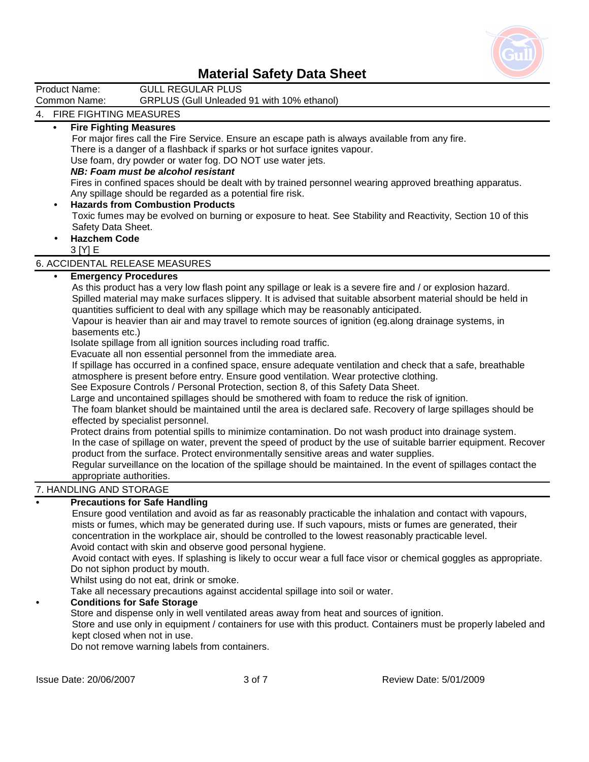

| Malerial Jarely Dala Jileel                                                                                                                    |  |  |  |
|------------------------------------------------------------------------------------------------------------------------------------------------|--|--|--|
| Product Name:<br><b>GULL REGULAR PLUS</b>                                                                                                      |  |  |  |
| Common Name:<br>GRPLUS (Gull Unleaded 91 with 10% ethanol)                                                                                     |  |  |  |
| 4. FIRE FIGHTING MEASURES                                                                                                                      |  |  |  |
| <b>Fire Fighting Measures</b><br>$\bullet$                                                                                                     |  |  |  |
| For major fires call the Fire Service. Ensure an escape path is always available from any fire.                                                |  |  |  |
| There is a danger of a flashback if sparks or hot surface ignites vapour.                                                                      |  |  |  |
| Use foam, dry powder or water fog. DO NOT use water jets.                                                                                      |  |  |  |
| NB: Foam must be alcohol resistant                                                                                                             |  |  |  |
| Fires in confined spaces should be dealt with by trained personnel wearing approved breathing apparatus.                                       |  |  |  |
| Any spillage should be regarded as a potential fire risk.                                                                                      |  |  |  |
| <b>Hazards from Combustion Products</b><br>$\bullet$                                                                                           |  |  |  |
| Toxic fumes may be evolved on burning or exposure to heat. See Stability and Reactivity, Section 10 of this                                    |  |  |  |
| Safety Data Sheet.                                                                                                                             |  |  |  |
| <b>Hazchem Code</b>                                                                                                                            |  |  |  |
| 3 [Y] E                                                                                                                                        |  |  |  |
| 6. ACCIDENTAL RELEASE MEASURES                                                                                                                 |  |  |  |
| <b>Emergency Procedures</b>                                                                                                                    |  |  |  |
| As this product has a very low flash point any spillage or leak is a severe fire and / or explosion hazard.                                    |  |  |  |
| Spilled material may make surfaces slippery. It is advised that suitable absorbent material should be held in                                  |  |  |  |
| quantities sufficient to deal with any spillage which may be reasonably anticipated.                                                           |  |  |  |
| Vapour is heavier than air and may travel to remote sources of ignition (eg.along drainage systems, in                                         |  |  |  |
| basements etc.)                                                                                                                                |  |  |  |
| Isolate spillage from all ignition sources including road traffic.                                                                             |  |  |  |
| Evacuate all non essential personnel from the immediate area.                                                                                  |  |  |  |
| If spillage has occurred in a confined space, ensure adequate ventilation and check that a safe, breathable                                    |  |  |  |
| atmosphere is present before entry. Ensure good ventilation. Wear protective clothing.                                                         |  |  |  |
| See Exposure Controls / Personal Protection, section 8, of this Safety Data Sheet.                                                             |  |  |  |
| Large and uncontained spillages should be smothered with foam to reduce the risk of ignition.                                                  |  |  |  |
| The foam blanket should be maintained until the area is declared safe. Recovery of large spillages should be                                   |  |  |  |
| effected by specialist personnel.<br>Protect drains from potential spills to minimize contamination. Do not wash product into drainage system. |  |  |  |
| In the case of spillage on water, prevent the speed of product by the use of suitable barrier equipment. Recover                               |  |  |  |
| product from the surface. Protect environmentally sensitive areas and water supplies.                                                          |  |  |  |
| Regular surveillance on the location of the spillage should be maintained. In the event of spillages contact the                               |  |  |  |
| appropriate authorities.                                                                                                                       |  |  |  |
| 7. HANDLING AND STORAGE                                                                                                                        |  |  |  |
| <b>Precautions for Safe Handling</b>                                                                                                           |  |  |  |
| Ensure good ventilation and avoid as far as reasonably practicable the inhalation and contact with vapours,                                    |  |  |  |
| mists or fumes, which may be generated during use. If such vapours, mists or fumes are generated, their                                        |  |  |  |
| concentration in the workplace air, should be controlled to the lowest reasonably practicable level.                                           |  |  |  |
| Avoid contact with skin and observe good personal hygiene.                                                                                     |  |  |  |
| Avoid contact with eyes. If splashing is likely to occur wear a full face visor or chemical goggles as appropriate.                            |  |  |  |
| Do not siphon product by mouth.                                                                                                                |  |  |  |
| Whilst using do not eat, drink or smoke.                                                                                                       |  |  |  |
| Take all necessary precautions against accidental spillage into soil or water.                                                                 |  |  |  |
| <b>Conditions for Safe Storage</b>                                                                                                             |  |  |  |
| Store and dispense only in well ventilated areas away from heat and sources of ignition.                                                       |  |  |  |
| Store and use only in equipment / containers for use with this product. Containers must be properly labeled and                                |  |  |  |

kept closed when not in use.

Do not remove warning labels from containers.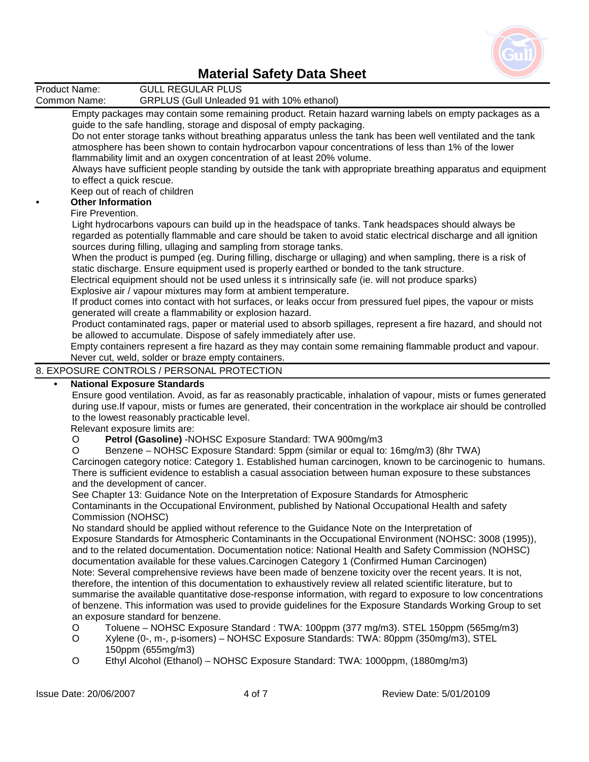

Product Name: GULL REGULAR PLUS<br>Common Name: GRPLUS (Gull Unleaded GRPLUS (Gull Unleaded 91 with 10% ethanol) Empty packages may contain some remaining product. Retain hazard warning labels on empty packages as a guide to the safe handling, storage and disposal of empty packaging. Do not enter storage tanks without breathing apparatus unless the tank has been well ventilated and the tank atmosphere has been shown to contain hydrocarbon vapour concentrations of less than 1% of the lower flammability limit and an oxygen concentration of at least 20% volume. Always have sufficient people standing by outside the tank with appropriate breathing apparatus and equipment to effect a quick rescue. Keep out of reach of children **• Other Information**  Fire Prevention. Light hydrocarbons vapours can build up in the headspace of tanks. Tank headspaces should always be regarded as potentially flammable and care should be taken to avoid static electrical discharge and all ignition sources during filling, ullaging and sampling from storage tanks. When the product is pumped (eg. During filling, discharge or ullaging) and when sampling, there is a risk of static discharge. Ensure equipment used is properly earthed or bonded to the tank structure. Electrical equipment should not be used unless it s intrinsically safe (ie. will not produce sparks) Explosive air / vapour mixtures may form at ambient temperature. If product comes into contact with hot surfaces, or leaks occur from pressured fuel pipes, the vapour or mists generated will create a flammability or explosion hazard. Product contaminated rags, paper or material used to absorb spillages, represent a fire hazard, and should not be allowed to accumulate. Dispose of safely immediately after use. Empty containers represent a fire hazard as they may contain some remaining flammable product and vapour. Never cut, weld, solder or braze empty containers. 8. EXPOSURE CONTROLS / PERSONAL PROTECTION **• National Exposure Standards**  Ensure good ventilation. Avoid, as far as reasonably practicable, inhalation of vapour, mists or fumes generated during use.If vapour, mists or fumes are generated, their concentration in the workplace air should be controlled to the lowest reasonably practicable level. Relevant exposure limits are: O **Petrol (Gasoline)** -NOHSC Exposure Standard: TWA 900mg/m3 O Benzene – NOHSC Exposure Standard: 5ppm (similar or equal to: 16mg/m3) (8hr TWA) Carcinogen category notice: Category 1. Established human carcinogen, known to be carcinogenic to humans. There is sufficient evidence to establish a casual association between human exposure to these substances and the development of cancer. See Chapter 13: Guidance Note on the Interpretation of Exposure Standards for Atmospheric Contaminants in the Occupational Environment, published by National Occupational Health and safety Commission (NOHSC) No standard should be applied without reference to the Guidance Note on the Interpretation of Exposure Standards for Atmospheric Contaminants in the Occupational Environment (NOHSC: 3008 (1995)), and to the related documentation. Documentation notice: National Health and Safety Commission (NOHSC) documentation available for these values.Carcinogen Category 1 (Confirmed Human Carcinogen) Note: Several comprehensive reviews have been made of benzene toxicity over the recent years. It is not, therefore, the intention of this documentation to exhaustively review all related scientific literature, but to summarise the available quantitative dose-response information, with regard to exposure to low concentrations of benzene. This information was used to provide guidelines for the Exposure Standards Working Group to set an exposure standard for benzene.

- O Toluene NOHSC Exposure Standard : TWA: 100ppm (377 mg/m3). STEL 150ppm (565mg/m3)
- O Xylene (0-, m-, p-isomers) NOHSC Exposure Standards: TWA: 80ppm (350mg/m3), STEL 150ppm (655mg/m3)
- O Ethyl Alcohol (Ethanol) NOHSC Exposure Standard: TWA: 1000ppm, (1880mg/m3)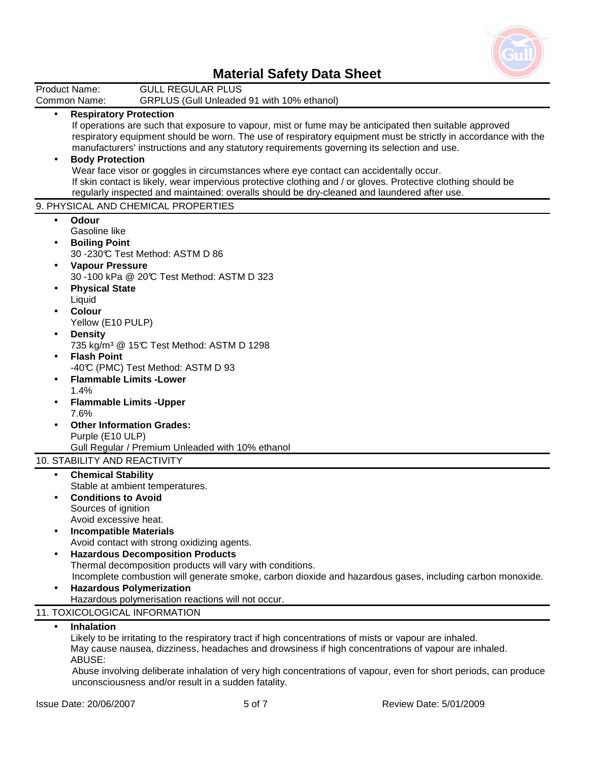

|           | <b>GULL REGULAR PLUS</b><br>Product Name:                                                                      |
|-----------|----------------------------------------------------------------------------------------------------------------|
|           | Common Name:<br>GRPLUS (Gull Unleaded 91 with 10% ethanol)                                                     |
| $\bullet$ | <b>Respiratory Protection</b>                                                                                  |
|           | If operations are such that exposure to vapour, mist or fume may be anticipated then suitable approved         |
|           | respiratory equipment should be worn. The use of respiratory equipment must be strictly in accordance with the |
|           | manufacturers' instructions and any statutory requirements governing its selection and use.                    |
|           | <b>Body Protection</b>                                                                                         |
|           | Wear face visor or goggles in circumstances where eye contact can accidentally occur.                          |
|           | If skin contact is likely, wear impervious protective clothing and / or gloves. Protective clothing should be  |
|           | regularly inspected and maintained: overalls should be dry-cleaned and laundered after use.                    |
|           | 9. PHYSICAL AND CHEMICAL PROPERTIES                                                                            |
| $\bullet$ | Odour                                                                                                          |
|           | Gasoline like                                                                                                  |
|           | <b>Boiling Point</b>                                                                                           |
|           | 30 -230°C Test Method: ASTM D 86                                                                               |
|           | <b>Vapour Pressure</b>                                                                                         |
|           | 30 -100 kPa @ 20°C Test Method: ASTM D 323                                                                     |
|           | <b>Physical State</b>                                                                                          |
|           | Liquid                                                                                                         |
|           | <b>Colour</b>                                                                                                  |
|           |                                                                                                                |
|           | Yellow (E10 PULP)                                                                                              |
|           | <b>Density</b>                                                                                                 |
|           | 735 kg/m <sup>3</sup> @ 15°C Test Method: ASTM D 1298                                                          |
|           | <b>Flash Point</b>                                                                                             |
|           | -40°C (PMC) Test Method: ASTM D 93                                                                             |
|           | <b>Flammable Limits - Lower</b>                                                                                |
|           | 1.4%                                                                                                           |
|           | <b>Flammable Limits - Upper</b>                                                                                |
|           | 7.6%                                                                                                           |
|           | <b>Other Information Grades:</b>                                                                               |
|           | Purple (E10 ULP)                                                                                               |
|           | Gull Regular / Premium Unleaded with 10% ethanol                                                               |
|           | 10. STABILITY AND REACTIVITY                                                                                   |
| $\bullet$ | <b>Chemical Stability</b>                                                                                      |
|           | Stable at ambient temperatures.                                                                                |
|           | <b>Conditions to Avoid</b>                                                                                     |
|           | Sources of ignition                                                                                            |
|           | Avoid excessive heat.                                                                                          |
|           | <b>Incompatible Materials</b>                                                                                  |
|           | Avoid contact with strong oxidizing agents.                                                                    |
|           | <b>Hazardous Decomposition Products</b>                                                                        |
|           | Thermal decomposition products will vary with conditions.                                                      |
|           | Incomplete combustion will generate smoke, carbon dioxide and hazardous gases, including carbon monoxide.      |
|           | <b>Hazardous Polymerization</b>                                                                                |
|           | Hazardous polymerisation reactions will not occur.                                                             |
|           | 11. TOXICOLOGICAL INFORMATION                                                                                  |
| $\bullet$ | Inhalation                                                                                                     |
|           | Likely to be irritating to the respiratory tract if high concentrations of mists or vapour are inhaled.        |
|           | May cause nausea, dizziness, headaches and drowsiness if high concentrations of vapour are inhaled.            |
|           |                                                                                                                |

ABUSE:

 Abuse involving deliberate inhalation of very high concentrations of vapour, even for short periods, can produce unconsciousness and/or result in a sudden fatality.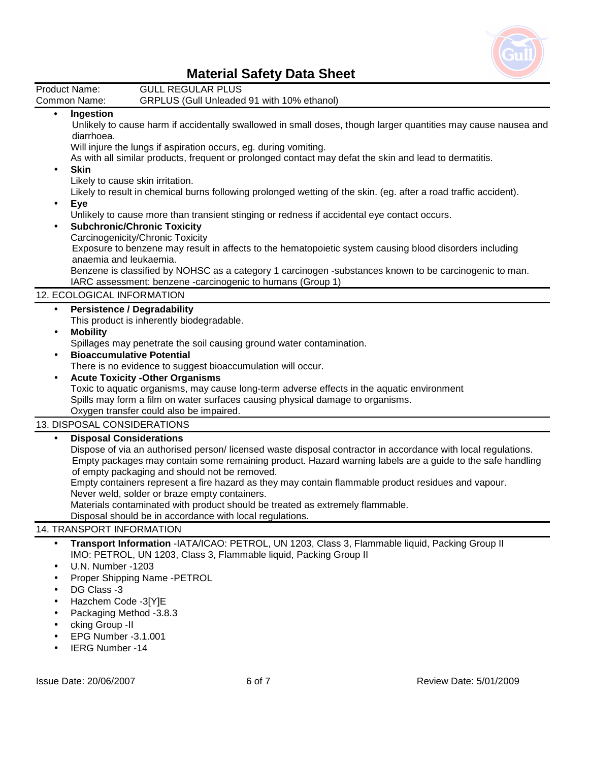

|                                                  | <b>Material Sarety Data Sireet</b>                                                                                                                                                                                                                                                                                                                                                                                                                                                                                                                                                                                                                                                                                                                                                                                                                                                                                            |
|--------------------------------------------------|-------------------------------------------------------------------------------------------------------------------------------------------------------------------------------------------------------------------------------------------------------------------------------------------------------------------------------------------------------------------------------------------------------------------------------------------------------------------------------------------------------------------------------------------------------------------------------------------------------------------------------------------------------------------------------------------------------------------------------------------------------------------------------------------------------------------------------------------------------------------------------------------------------------------------------|
|                                                  | Product Name:<br><b>GULL REGULAR PLUS</b>                                                                                                                                                                                                                                                                                                                                                                                                                                                                                                                                                                                                                                                                                                                                                                                                                                                                                     |
|                                                  | GRPLUS (Gull Unleaded 91 with 10% ethanol)<br>Common Name:                                                                                                                                                                                                                                                                                                                                                                                                                                                                                                                                                                                                                                                                                                                                                                                                                                                                    |
| $\bullet$<br>$\bullet$                           | Ingestion<br>Unlikely to cause harm if accidentally swallowed in small doses, though larger quantities may cause nausea and<br>diarrhoea.<br>Will injure the lungs if aspiration occurs, eg. during vomiting.<br>As with all similar products, frequent or prolonged contact may defat the skin and lead to dermatitis.<br><b>Skin</b><br>Likely to cause skin irritation.<br>Likely to result in chemical burns following prolonged wetting of the skin. (eg. after a road traffic accident).<br>Eye<br>Unlikely to cause more than transient stinging or redness if accidental eye contact occurs.<br><b>Subchronic/Chronic Toxicity</b><br>Carcinogenicity/Chronic Toxicity<br>Exposure to benzene may result in affects to the hematopoietic system causing blood disorders including<br>anaemia and leukaemia.<br>Benzene is classified by NOHSC as a category 1 carcinogen -substances known to be carcinogenic to man. |
|                                                  | IARC assessment: benzene -carcinogenic to humans (Group 1)                                                                                                                                                                                                                                                                                                                                                                                                                                                                                                                                                                                                                                                                                                                                                                                                                                                                    |
|                                                  | 12. ECOLOGICAL INFORMATION                                                                                                                                                                                                                                                                                                                                                                                                                                                                                                                                                                                                                                                                                                                                                                                                                                                                                                    |
| $\bullet$<br>$\bullet$<br>$\bullet$<br>$\bullet$ | <b>Persistence / Degradability</b><br>This product is inherently biodegradable.<br><b>Mobility</b><br>Spillages may penetrate the soil causing ground water contamination.<br><b>Bioaccumulative Potential</b><br>There is no evidence to suggest bioaccumulation will occur.<br><b>Acute Toxicity -Other Organisms</b><br>Toxic to aquatic organisms, may cause long-term adverse effects in the aquatic environment<br>Spills may form a film on water surfaces causing physical damage to organisms.<br>Oxygen transfer could also be impaired.                                                                                                                                                                                                                                                                                                                                                                            |
|                                                  | 13. DISPOSAL CONSIDERATIONS                                                                                                                                                                                                                                                                                                                                                                                                                                                                                                                                                                                                                                                                                                                                                                                                                                                                                                   |
| $\bullet$                                        | <b>Disposal Considerations</b><br>Dispose of via an authorised person/licensed waste disposal contractor in accordance with local regulations.<br>Empty packages may contain some remaining product. Hazard warning labels are a guide to the safe handling<br>of empty packaging and should not be removed.<br>Empty containers represent a fire hazard as they may contain flammable product residues and vapour.<br>Never weld, solder or braze empty containers.<br>Materials contaminated with product should be treated as extremely flammable.<br>Disposal should be in accordance with local regulations.                                                                                                                                                                                                                                                                                                             |
|                                                  | 14. TRANSPORT INFORMATION                                                                                                                                                                                                                                                                                                                                                                                                                                                                                                                                                                                                                                                                                                                                                                                                                                                                                                     |
| $\bullet$                                        | Transport Information -IATA/ICAO: PETROL, UN 1203, Class 3, Flammable liquid, Packing Group II<br>IMO: PETROL, UN 1203, Class 3, Flammable liquid, Packing Group II<br><b>U.N. Number -1203</b><br>Proper Shipping Name -PETROL<br>DG Class -3<br>Hazchem Code -3[Y]E<br>Packaging Method -3.8.3<br>cking Group -II<br>EPG Number -3.1.001                                                                                                                                                                                                                                                                                                                                                                                                                                                                                                                                                                                    |

• IERG Number -14